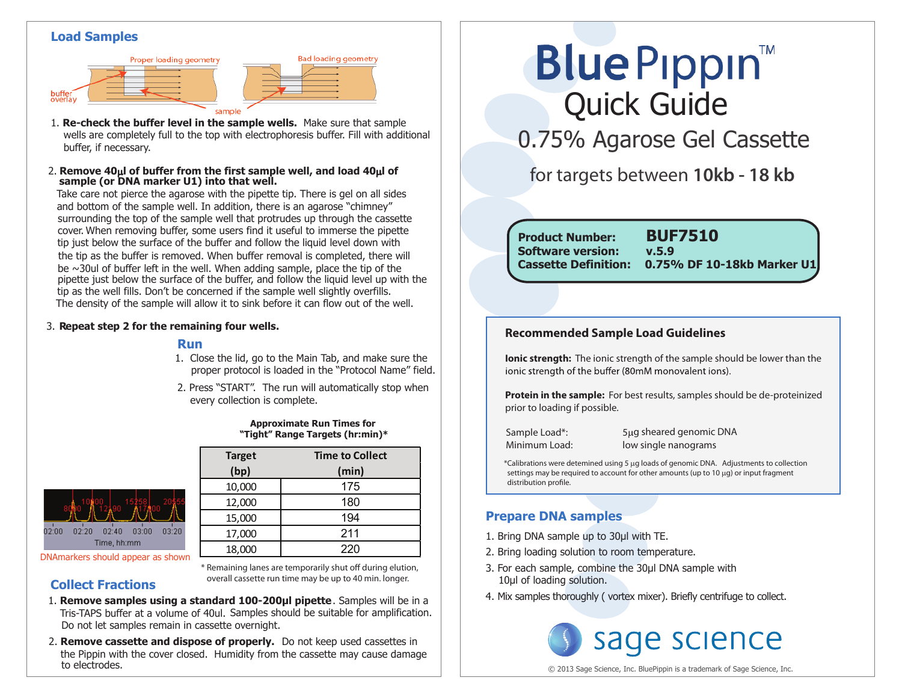#### **Load Samples**



- 1. **Re-check the buffer level in the sample wells.** Make sure that sample wells are completely full to the top with electrophoresis buffer. Fill with additional buffer, if necessary.
- **sample (or DNA marker U1) into that well.** 2. **Remove 40**µ**l of buffer from the first sample well, and load 40**µ**l of**

Take care not pierce the agarose with the pipette tip. There is gel on all sides and bottom of the sample well. In addition, there is an agarose "chimney" surrounding the top of the sample well that protrudes up through the cassette cover. When removing buffer, some users find it useful to immerse the pipette tip just below the surface of the buffer and follow the liquid level down with the tip as the buffer is removed. When buffer removal is completed, there will be  $\sim$ 30ul of buffer left in the well. When adding sample, place the tip of the pipette just below the surface of the buffer, and follow the liquid level up with the tip as the well fills. Don't be concerned if the sample well slightly overfills. The density of the sample will allow it to sink before it can flow out of the well.

#### 3. **Repeat step 2 for the remaining four wells.**

#### **Run**

1. Close the lid, go to the Main Tab, and make sure the proper protocol is loaded in the "Protocol Name" field.

**Bad loading geometry** 

2. Press "START". The run will automatically stop when every collection is complete.

|  | <b>Approximate Run Times for</b> |                                 |
|--|----------------------------------|---------------------------------|
|  |                                  | "Tight" Range Targets (hr:min)* |

**Target Time to Collect (bp) (min)** 10,000 175  $12,000$  180 15,000 194 17,000 211 18,000 220



DNAmarkers should appear as shown

**Collect Fractions**

\* Remaining lanes are temporarily shut off during elution, overall cassette run time may be up to 40 min. longer.

- Tris-TAPS buffer at a volume of 40ul. Samples should be suitable for amplification. 1. **Remove samples using a standard 100-200µl pipette**. Samples will be in a Do not let samples remain in cassette overnight.
- 2. **Remove cassette and dispose of properly.** Do not keep used cassettes in the Pippin with the cover closed. Humidity from the cassette may cause damage to electrodes.

# **Blue Pippin** Quick Guide

0.75% Agarose Gel Cassette

## for targets between **10kb - 18 kb**

**Product Number: BUF7510 Cassette Definition: 0.75% DF 10-18kb Marker U1 Software version: v.5.9**

#### **Recommended Sample Load Guidelines**

**Ionic strength:** The ionic strength of the sample should be lower than the ionic strength of the buffer (80mM monovalent ions).

**Protein in the sample:** For best results, samples should be de-proteinized prior to loading if possible.

Sample Load\*: 5µg sheared genomic DNA Minimum Load: low single nanograms

\*Calibrations were detemined using 5 µg loads of genomic DNA. Adjustments to collection settings may be required to account for other amounts (up to 10 µg) or input fragment distribution profile.

#### **Prepare DNA samples**

- 1. Bring DNA sample up to 30μl with TE.
- 2. Bring loading solution to room temperature.
- 3. For each sample, combine the 30μl DNA sample with 10μl of loading solution.
- 4. Mix samples thoroughly ( vortex mixer). Briefly centrifuge to collect.